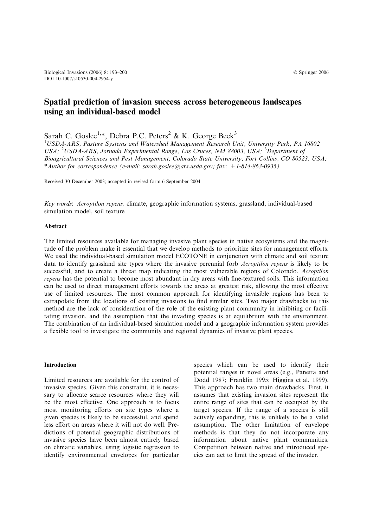# Spatial prediction of invasion success across heterogeneous landscapes using an individual-based model

Sarah C. Goslee<sup>1,\*</sup>, Debra P.C. Peters<sup>2</sup> & K. George Beck<sup>3</sup>

<sup>1</sup>USDA-ARS, Pasture Systems and Watershed Management Research Unit, University Park, PA 16802 USA; <sup>2</sup>USDA-ARS, Jornada Experimental Range, Las Cruces, NM 88003, USA; <sup>3</sup>Department of Bioagricultural Sciences and Pest Management, Colorado State University, Fort Collins, CO 80523, USA; \*Author for correspondence (e-mail: sarah.goslee@ars.usda.gov; fax: +1-814-863-0935)

Received 30 December 2003; accepted in revised form 6 September 2004

Key words: Acroptilon repens, climate, geographic information systems, grassland, individual-based simulation model, soil texture

#### Abstract

The limited resources available for managing invasive plant species in native ecosystems and the magnitude of the problem make it essential that we develop methods to prioritize sites for management efforts. We used the individual-based simulation model ECOTONE in conjunction with climate and soil texture data to identify grassland site types where the invasive perennial forb Acroptilon repens is likely to be successful, and to create a threat map indicating the most vulnerable regions of Colorado. Acroptilon repens has the potential to become most abundant in dry areas with fine-textured soils. This information can be used to direct management efforts towards the areas at greatest risk, allowing the most effective use of limited resources. The most common approach for identifying invasible regions has been to extrapolate from the locations of existing invasions to find similar sites. Two major drawbacks to this method are the lack of consideration of the role of the existing plant community in inhibiting or facilitating invasion, and the assumption that the invading species is at equilibrium with the environment. The combination of an individual-based simulation model and a geographic information system provides a flexible tool to investigate the community and regional dynamics of invasive plant species.

#### Introduction

Limited resources are available for the control of invasive species. Given this constraint, it is necessary to allocate scarce resources where they will be the most effective. One approach is to focus most monitoring efforts on site types where a given species is likely to be successful, and spend less effort on areas where it will not do well. Predictions of potential geographic distributions of invasive species have been almost entirely based on climatic variables, using logistic regression to identify environmental envelopes for particular

species which can be used to identify their potential ranges in novel areas (e.g., Panetta and Dodd 1987; Franklin 1995; Higgins et al. 1999). This approach has two main drawbacks. First, it assumes that existing invasion sites represent the entire range of sites that can be occupied by the target species. If the range of a species is still actively expanding, this is unlikely to be a valid assumption. The other limitation of envelope methods is that they do not incorporate any information about native plant communities. Competition between native and introduced species can act to limit the spread of the invader.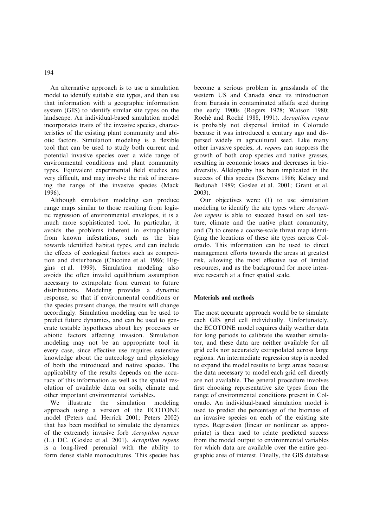An alternative approach is to use a simulation model to identify suitable site types, and then use that information with a geographic information system (GIS) to identify similar site types on the landscape. An individual-based simulation model incorporates traits of the invasive species, characteristics of the existing plant community and abiotic factors. Simulation modeling is a flexible tool that can be used to study both current and potential invasive species over a wide range of environmental conditions and plant community types. Equivalent experimental field studies are very difficult, and may involve the risk of increasing the range of the invasive species (Mack 1996).

Although simulation modeling can produce range maps similar to those resulting from logistic regression of environmental envelopes, it is a much more sophisticated tool. In particular, it avoids the problems inherent in extrapolating from known infestations, such as the bias towards identified habitat types, and can include the effects of ecological factors such as competition and disturbance (Chicoine et al. 1986; Higgins et al. 1999). Simulation modeling also avoids the often invalid equilibrium assumption necessary to extrapolate from current to future distributions. Modeling provides a dynamic response, so that if environmental conditions or the species present change, the results will change accordingly. Simulation modeling can be used to predict future dynamics, and can be used to generate testable hypotheses about key processes or abiotic factors affecting invasion. Simulation modeling may not be an appropriate tool in every case, since effective use requires extensive knowledge about the autecology and physiology of both the introduced and native species. The applicability of the results depends on the accuracy of this information as well as the spatial resolution of available data on soils, climate and other important environmental variables.

We illustrate the simulation modeling approach using a version of the ECOTONE model (Peters and Herrick 2001; Peters 2002) that has been modified to simulate the dynamics of the extremely invasive forb Acroptilon repens (L.) DC. (Goslee et al. 2001). Acroptilon repens is a long-lived perennial with the ability to form dense stable monocultures. This species has become a serious problem in grasslands of the western US and Canada since its introduction from Eurasia in contaminated alfalfa seed during the early 1900s (Rogers 1928; Watson 1980; Roché and Roché 1988, 1991). Acroptilon repens is probably not dispersal limited in Colorado because it was introduced a century ago and dispersed widely in agricultural seed. Like many other invasive species, A. repens can suppress the growth of both crop species and native grasses, resulting in economic losses and decreases in biodiversity. Allelopathy has been implicated in the success of this species (Stevens 1986; Kelsey and Bedunah 1989; Goslee et al. 2001; Grant et al. 2003).

Our objectives were: (1) to use simulation modeling to identify the site types where Acroptilon repens is able to succeed based on soil texture, climate and the native plant community, and (2) to create a coarse-scale threat map identifying the locations of these site types across Colorado. This information can be used to direct management efforts towards the areas at greatest risk, allowing the most effective use of limited resources, and as the background for more intensive research at a finer spatial scale.

# Materials and methods

The most accurate approach would be to simulate each GIS grid cell individually. Unfortunately, the ECOTONE model requires daily weather data for long periods to calibrate the weather simulator, and these data are neither available for all grid cells nor accurately extrapolated across large regions. An intermediate regression step is needed to expand the model results to large areas because the data necessary to model each grid cell directly are not available. The general procedure involves first choosing representative site types from the range of environmental conditions present in Colorado. An individual-based simulation model is used to predict the percentage of the biomass of an invasive species on each of the existing site types. Regression (linear or nonlinear as appropriate) is then used to relate predicted success from the model output to environmental variables for which data are available over the entire geographic area of interest. Finally, the GIS database

# 194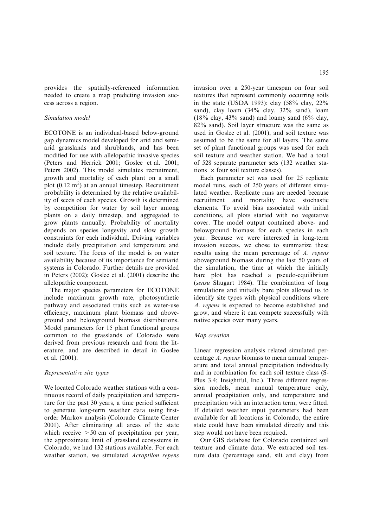provides the spatially-referenced information needed to create a map predicting invasion success across a region.

# Simulation model

ECOTONE is an individual-based below-ground gap dynamics model developed for arid and semiarid grasslands and shrublands, and has been modified for use with allelopathic invasive species (Peters and Herrick 2001; Goslee et al. 2001; Peters 2002). This model simulates recruitment, growth and mortality of each plant on a small plot  $(0.12 \text{ m}^2)$  at an annual timestep. Recruitment probability is determined by the relative availability of seeds of each species. Growth is determined by competition for water by soil layer among plants on a daily timestep, and aggregated to grow plants annually. Probability of mortality depends on species longevity and slow growth constraints for each individual. Driving variables include daily precipitation and temperature and soil texture. The focus of the model is on water availability because of its importance for semiarid systems in Colorado. Further details are provided in Peters (2002); Goslee et al. (2001) describe the allelopathic component.

The major species parameters for ECOTONE include maximum growth rate, photosynthetic pathway and associated traits such as water-use efficiency, maximum plant biomass and aboveground and belowground biomass distributions. Model parameters for 15 plant functional groups common to the grasslands of Colorado were derived from previous research and from the literature, and are described in detail in Goslee et al. (2001).

# Representative site types

We located Colorado weather stations with a continuous record of daily precipitation and temperature for the past 30 years, a time period sufficient to generate long-term weather data using firstorder Markov analysis (Colorado Climate Center 2001). After eliminating all areas of the state which receive  $>50$  cm of precipitation per year, the approximate limit of grassland ecosystems in Colorado, we had 132 stations available. For each weather station, we simulated Acroptilon repens

invasion over a 250-year timespan on four soil textures that represent commonly occurring soils in the state (USDA 1993): clay (58% clay, 22% sand), clay loam (34% clay, 32% sand), loam  $(18\% \text{ clay}, 43\% \text{ sand})$  and loamy sand  $(6\% \text{ clay},$ 82% sand). Soil layer structure was the same as used in Goslee et al. (2001), and soil texture was assumed to be the same for all layers. The same set of plant functional groups was used for each soil texture and weather station. We had a total of 528 separate parameter sets (132 weather stations  $\times$  four soil texture classes).

Each parameter set was used for 25 replicate model runs, each of 250 years of different simulated weather. Replicate runs are needed because recruitment and mortality have stochastic elements. To avoid bias associated with initial conditions, all plots started with no vegetative cover. The model output contained above- and belowground biomass for each species in each year. Because we were interested in long-term invasion success, we chose to summarize these results using the mean percentage of A. repens aboveground biomass during the last 50 years of the simulation, the time at which the initially bare plot has reached a pseudo-equilibrium (sensu Shugart 1984). The combination of long simulations and initially bare plots allowed us to identify site types with physical conditions where A. repens is expected to become established and grow, and where it can compete successfully with native species over many years.

#### Map creation

Linear regression analysis related simulated percentage A. repens biomass to mean annual temperature and total annual precipitation individually and in combination for each soil texture class (S-Plus 3.4; Insightful, Inc.). Three different regression models, mean annual temperature only, annual precipitation only, and temperature and precipitation with an interaction term, were fitted. If detailed weather input parameters had been available for all locations in Colorado, the entire state could have been simulated directly and this step would not have been required.

Our GIS database for Colorado contained soil texture and climate data. We extracted soil texture data (percentage sand, silt and clay) from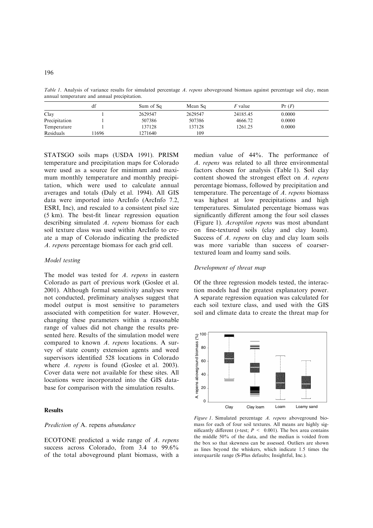|  |                                              |  |  |  | Table 1. Analysis of variance results for simulated percentage A. repens aboveground biomass against percentage soil clay, mean |  |  |  |
|--|----------------------------------------------|--|--|--|---------------------------------------------------------------------------------------------------------------------------------|--|--|--|
|  | annual temperature and annual precipitation. |  |  |  |                                                                                                                                 |  |  |  |

|               | df   | Sum of Sq | Mean Sq | <i>F</i> value | Pr(F)  |  |
|---------------|------|-----------|---------|----------------|--------|--|
| Clay          |      | 2629547   | 2629547 | 24185.45       | 0.0000 |  |
| Precipitation |      | 507386    | 507386  | 4666.72        | 0.0000 |  |
| Temperature   |      | 137128    | 137128  | 1261.25        | 0.0000 |  |
| Residuals     | 1696 | 1271640   | 109     |                |        |  |

STATSGO soils maps (USDA 1991). PRISM temperature and precipitation maps for Colorado were used as a source for minimum and maximum monthly temperature and monthly precipitation, which were used to calculate annual averages and totals (Daly et al. 1994). All GIS data were imported into ArcInfo (ArcInfo 7.2, ESRI, Inc), and rescaled to a consistent pixel size (5 km). The best-fit linear regression equation describing simulated A. repens biomass for each soil texture class was used within ArcInfo to create a map of Colorado indicating the predicted A. repens percentage biomass for each grid cell.

# Model testing

The model was tested for A. repens in eastern Colorado as part of previous work (Goslee et al. 2001). Although formal sensitivity analyses were not conducted, preliminary analyses suggest that model output is most sensitive to parameters associated with competition for water. However, changing these parameters within a reasonable range of values did not change the results presented here. Results of the simulation model were compared to known A. repens locations. A survey of state county extension agents and weed supervisors identified 528 locations in Colorado where A. repens is found (Goslee et al. 2003). Cover data were not available for these sites. All locations were incorporated into the GIS database for comparison with the simulation results.

# Results

#### Prediction of A. repens abundance

ECOTONE predicted a wide range of A. repens success across Colorado, from 3.4 to 99.6% of the total aboveground plant biomass, with a

median value of 44%. The performance of A. repens was related to all three environmental factors chosen for analysis (Table 1). Soil clay content showed the strongest effect on A. repens percentage biomass, followed by precipitation and temperature. The percentage of A. repens biomass was highest at low precipitations and high temperatures. Simulated percentage biomass was significantly different among the four soil classes (Figure 1). Acroptilon repens was most abundant on fine-textured soils (clay and clay loam). Success of A. repens on clay and clay loam soils was more variable than success of coarsertextured loam and loamy sand soils.

# Development of threat map

Of the three regression models tested, the interaction models had the greatest explanatory power. A separate regression equation was calculated for each soil texture class, and used with the GIS soil and climate data to create the threat map for



Figure 1. Simulated percentage A. repens aboveground biomass for each of four soil textures. All means are highly significantly different (*t*-test;  $P \leq 0.001$ ). The box area contains the middle 50% of the data, and the median is voided from the box so that skewness can be assessed. Outliers are shown as lines beyond the whiskers, which indicate 1.5 times the interquartile range (S-Plus defaults; Insightful, Inc.).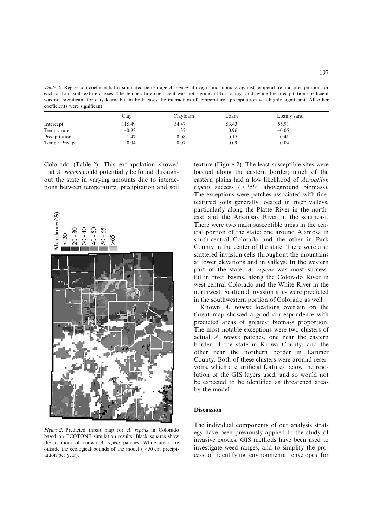Table 2. Regression coefficients for simulated percentage A. repens aboveground biomass against temperature and precipitation for each of four soil texture classes. The temperature coefficient was not significant for loamy sand, while the precipitation coefficient was not significant for clay loam, but in both cases the interaction of temperature : precipitation was highly significant. All other coefficients were significant.

|               | Clay    | Clayloam | Loam    | Loamy sand |
|---------------|---------|----------|---------|------------|
| Intercept     | 115.49  | 54.47    | 53.43   | 55.91      |
| Temprature    | $-0.92$ | 1.37     | 0.96    | $-0.05$    |
| Precipitation | $-1.47$ | 0.08     | $-0.15$ | $-0.41$    |
| Temp: Precip  | 0.04    | $-0.07$  | $-0.09$ | $-0.04$    |

Colorado (Table 2). This extrapolation showed that A. repens could potentially be found throughout the state in varying amounts due to interactions between temperature, precipitation and soil



Figure 2. Predicted threat map for A. repens in Colorado based on ECOTONE simulation results. Black squares show the locations of known A. repens patches. White areas are outside the ecological bounds of the model (>50 cm precipitation per year).

texture (Figure 2). The least susceptible sites were located along the eastern border; much of the eastern plains had a low likelihood of Acroptilon repens success  $\left($  < 35% aboveground biomass). The exceptions were patches associated with finetextured soils generally located in river valleys, particularly along the Platte River in the northeast and the Arkansas River in the southeast. There were two main susceptible areas in the central portion of the state: one around Alamosa in south-central Colorado and the other in Park County in the center of the state. There were also scattered invasion cells throughout the mountains at lower elevations and in valleys. In the western part of the state, A. repens was most successful in river basins, along the Colorado River in west-central Colorado and the White River in the northwest. Scattered invasion sites were predicted in the southwestern portion of Colorado as well.

Known A. repens locations overlain on the threat map showed a good correspondence with predicted areas of greatest biomass proportion. The most notable exceptions were two clusters of actual A. repens patches, one near the eastern border of the state in Kiowa County, and the other near the northern border in Larimer County. Both of these clusters were around reservoirs, which are artificial features below the resolution of the GIS layers used, and so would not be expected to be identified as threatened areas by the model.

#### **Discussion**

The individual components of our analysis strategy have been previously applied to the study of invasive exotics. GIS methods have been used to investigate weed ranges, and to simplify the process of identifying environmental envelopes for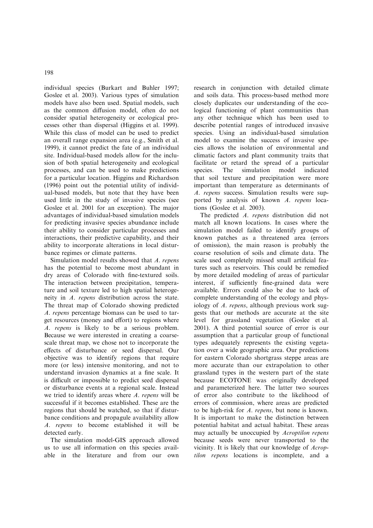individual species (Burkart and Buhler 1997; Goslee et al. 2003). Various types of simulation models have also been used. Spatial models, such as the common diffusion model, often do not consider spatial heterogeneity or ecological processes other than dispersal (Higgins et al. 1999). While this class of model can be used to predict an overall range expansion area (e.g., Smith et al. 1999), it cannot predict the fate of an individual site. Individual-based models allow for the inclusion of both spatial heterogeneity and ecological processes, and can be used to make predictions for a particular location. Higgins and Richardson (1996) point out the potential utility of individual-based models, but note that they have been used little in the study of invasive species (see Goslee et al. 2001 for an exception). The major advantages of individual-based simulation models for predicting invasive species abundance include their ability to consider particular processes and interactions, their predictive capability, and their ability to incorporate alterations in local disturbance regimes or climate patterns.

Simulation model results showed that A. repens has the potential to become most abundant in dry areas of Colorado with fine-textured soils. The interaction between precipitation, temperature and soil texture led to high spatial heterogeneity in A. repens distribution across the state. The threat map of Colorado showing predicted A. repens percentage biomass can be used to target resources (money and effort) to regions where A. repens is likely to be a serious problem. Because we were interested in creating a coarsescale threat map, we chose not to incorporate the effects of disturbance or seed dispersal. Our objective was to identify regions that require more (or less) intensive monitoring, and not to understand invasion dynamics at a fine scale. It is difficult or impossible to predict seed dispersal or disturbance events at a regional scale. Instead we tried to identify areas where A. repens will be successful if it becomes established. These are the regions that should be watched, so that if disturbance conditions and propagule availability allow A. repens to become established it will be detected early.

The simulation model-GIS approach allowed us to use all information on this species available in the literature and from our own

research in conjunction with detailed climate and soils data. This process-based method more closely duplicates our understanding of the ecological functioning of plant communities than any other technique which has been used to describe potential ranges of introduced invasive species. Using an individual-based simulation model to examine the success of invasive species allows the isolation of environmental and climatic factors and plant community traits that facilitate or retard the spread of a particular species. The simulation model indicated that soil texture and precipitation were more important than temperature as determinants of A. repens success. Simulation results were supported by analysis of known A. repens locations (Goslee et al. 2003).

The predicted A. repens distribution did not match all known locations. In cases where the simulation model failed to identify groups of known patches as a threatened area (errors of omission), the main reason is probably the coarse resolution of soils and climate data. The scale used completely missed small artificial features such as reservoirs. This could be remedied by more detailed modeling of areas of particular interest, if sufficiently fine-grained data were available. Errors could also be due to lack of complete understanding of the ecology and physiology of A. repens, although previous work suggests that our methods are accurate at the site level for grassland vegetation (Goslee et al. 2001). A third potential source of error is our assumption that a particular group of functional types adequately represents the existing vegetation over a wide geographic area. Our predictions for eastern Colorado shortgrass steppe areas are more accurate than our extrapolation to other grassland types in the western part of the state because ECOTONE was originally developed and parameterized here. The latter two sources of error also contribute to the likelihood of errors of commission, where areas are predicted to be high-risk for A. repens, but none is known. It is important to make the distinction between potential habitat and actual habitat. These areas may actually be unoccupied by Acroptilon repens because seeds were never transported to the vicinity. It is likely that our knowledge of Acroptilon repens locations is incomplete, and a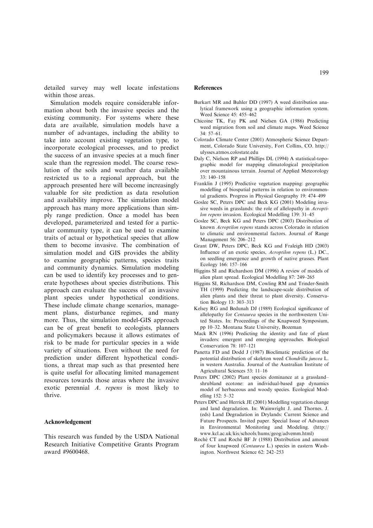detailed survey may well locate infestations within those areas.

Simulation models require considerable information about both the invasive species and the existing community. For systems where these data are available, simulation models have a number of advantages, including the ability to take into account existing vegetation type, to incorporate ecological processes, and to predict the success of an invasive species at a much finer scale than the regression model. The coarse resolution of the soils and weather data available restricted us to a regional approach, but the approach presented here will become increasingly valuable for site prediction as data resolution and availability improve. The simulation model approach has many more applications than simply range prediction. Once a model has been developed, parameterized and tested for a particular community type, it can be used to examine traits of actual or hypothetical species that allow them to become invasive. The combination of simulation model and GIS provides the ability to examine geographic patterns, species traits and community dynamics. Simulation modeling can be used to identify key processes and to generate hypotheses about species distributions. This approach can evaluate the success of an invasive plant species under hypothetical conditions. These include climate change scenarios, management plans, disturbance regimes, and many more. Thus, the simulation model-GIS approach can be of great benefit to ecologists, planners and policymakers because it allows estimates of risk to be made for particular species in a wide variety of situations. Even without the need for prediction under different hypothetical conditions, a threat map such as that presented here is quite useful for allocating limited management resources towards those areas where the invasive exotic perennial A. repens is most likely to thrive.

## Acknowledgement

This research was funded by the USDA National Research Initiative Competitive Grants Program award #9600468.

#### **References**

- Burkart MR and Buhler DD (1997) A weed distribution analytical framework using a geographic information system. Weed Science 45: 455–462
- Chicoine TK, Fay PK and Nielsen GA (1986) Predicting weed migration from soil and climate maps. Weed Science 34: 57–61.
- Colorado Climate Center (2001) Atmospheric Science Department, Colorado State University, Fort Collins, CO. http:// ulysses.atmos.colostate.edu
- Daly C, Nielson RP and Phillips DL (1994) A statistical-topographic model for mapping climatological precipitation over mountainous terrain. Journal of Applied Meteorology 33: 140–158
- Franklin J (1995) Predictive vegetation mapping: geographic modelling of biospatial patterns in relation to environmental gradients. Progress in Physical Geography 19: 474–499
- Goslee SC, Peters DPC and Beck KG (2001) Modeling invasive weeds in grasslands: the role of allelopathy in Acroptilon repens invasion. Ecological Modelling 139: 31–45
- Goslee SC, Beck KG and Peters DPC (2003) Distribution of known Acroptilon repens stands across Colorado in relation to climatic and environmental factors. Journal of Range Management 56: 206–212
- Grant DW, Peters DPC, Beck KG and Fraleigh HD (2003) Influence of an exotic species, Acroptilon repens (L.) DC., on seedling emergence and growth of native grasses. Plant Ecology 166: 157–166
- Higgins SI and Richardson DM (1996) A review of models of alien plant spread. Ecological Modelling 87: 249–265
- Higgins SI, Richardson DM, Cowling RM and Trinder-Smith TH (1999) Predicting the landscape-scale distribution of alien plants and their threat to plant diversity. Conservation Biology 13: 303–313
- Kelsey RG and Bedunah DJ (1989) Ecological significance of allelopathy for Centaurea species in the northwestern United States. In: Proceedings of the Knapweed Symposium, pp 10–32. Montana State University, Bozeman
- Mack RN (1996) Predicting the identity and fate of plant invaders: emergent and emerging approaches. Biological Conservation 78: 107–121
- Panetta FD and Dodd J (1987) Bioclimatic prediction of the potential distribution of skeleton weed Chondrilla juncea L. in western Australia. Journal of the Australian Institute of Agricultural Sciences 53: 11–16
- Peters DPC (2002) Plant species dominance at a grassland– shrubland ecotone: an individual-based gap dynamics model of herbaceous and woody species. Ecological Modelling 152: 5–32
- Peters DPC and Herrick JE (2001) Modelling vegetation change and land degradation. In: Wainwright J. and Thornes. J. (eds) Land Degradation in Drylands: Current Science and Future Prospects. Invited paper. Special Issue of Advances in Environmental Monitoring and Modeling. (http:// www.kcl.ac.uk/kis/schools/hums/geog/advemm.html)
- Roché CT and Roché BF Jr (1988) Distribution and amount of four knapweed (Centaurea L.) species in eastern Washington. Northwest Science 62: 242–253